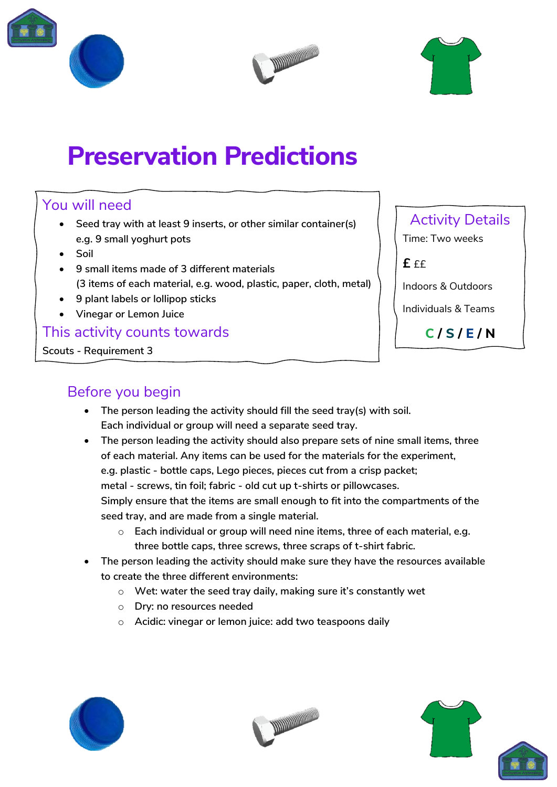





# **Preservation Predictions**

### You will need

- **Seed tray with at least 9 inserts, or other similar container(s) e.g. 9 small yoghurt pots**
- **Soil**
- **9 small items made of 3 different materials (3 items of each material, e.g. wood, plastic, paper, cloth, metal)**
- **9 plant labels or lollipop sticks**
- **Vinegar or Lemon Juice**

### This activity counts towards

**Scouts - Requirement 3**

## Activity Details

Time: Two weeks

 $f f f$ 

Indoors & Outdoors

Individuals & Teams

**C / S / E / N**

## Before you begin

- **The person leading the activity should fill the seed tray(s) with soil. Each individual or group will need a separate seed tray.**
- **The person leading the activity should also prepare sets of nine small items, three of each material. Any items can be used for the materials for the experiment, e.g. plastic - bottle caps, Lego pieces, pieces cut from a crisp packet; metal - screws, tin foil; fabric - old cut up t-shirts or pillowcases. Simply ensure that the items are small enough to fit into the compartments of the seed tray, and are made from a single material.**
	- o **Each individual or group will need nine items, three of each material, e.g. three bottle caps, three screws, three scraps of t-shirt fabric.**
- **The person leading the activity should make sure they have the resources available to create the three different environments:** 
	- o **Wet: water the seed tray daily, making sure it's constantly wet**
	- o **Dry: no resources needed**
	- o **Acidic: vinegar or lemon juice: add two teaspoons daily**







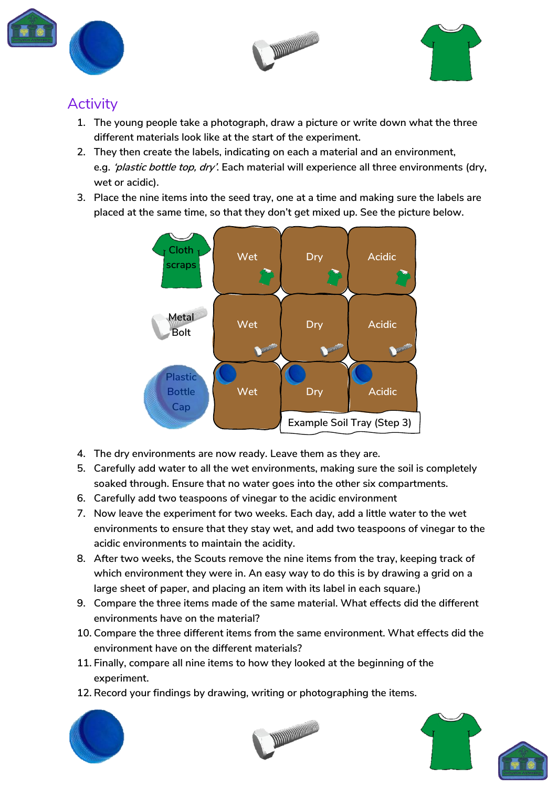





## **Activity**

- **1. The young people take a photograph, draw a picture or write down what the three different materials look like at the start of the experiment.**
- **2. They then create the labels, indicating on each a material and an environment, e.g. 'plastic bottle top, dry'. Each material will experience all three environments (dry, wet or acidic).**
- **3. Place the nine items into the seed tray, one at a time and making sure the labels are placed at the same time, so that they don't get mixed up. See the picture below.**



- **4. The dry environments are now ready. Leave them as they are.**
- **5. Carefully add water to all the wet environments, making sure the soil is completely soaked through. Ensure that no water goes into the other six compartments.**
- **6. Carefully add two teaspoons of vinegar to the acidic environment**
- **7. Now leave the experiment for two weeks. Each day, add a little water to the wet environments to ensure that they stay wet, and add two teaspoons of vinegar to the acidic environments to maintain the acidity.**
- **8. After two weeks, the Scouts remove the nine items from the tray, keeping track of which environment they were in. An easy way to do this is by drawing a grid on a large sheet of paper, and placing an item with its label in each square.)**
- **9. Compare the three items made of the same material. What effects did the different environments have on the material?**
- **10. Compare the three different items from the same environment. What effects did the environment have on the different materials?**
- **11. Finally, compare all nine items to how they looked at the beginning of the experiment.**
- **12. Record your findings by drawing, writing or photographing the items.**